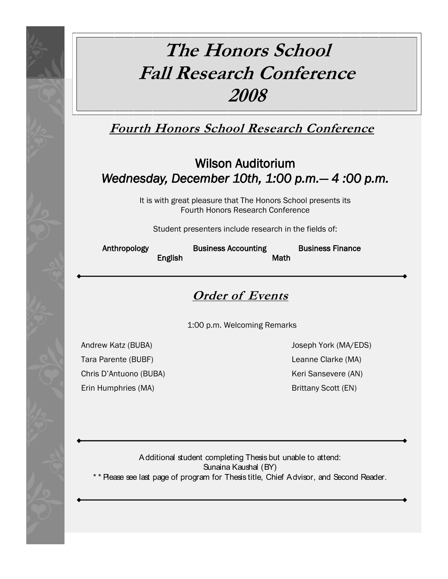# **The Honors School Fall Research Conference 2008**

**Fourth Honors School Research Conference**

## Wilson Auditorium *Wednesday, December 10th, 1:00 p.m.— 4 :00 p.m.*

It is with great pleasure that The Honors School presents its Fourth Honors Research Conference

Student presenters include research in the fields of:

English Math

Anthropology Business Accounting Business Finance

## **Order of Events**

1:00 p.m. Welcoming Remarks

Andrew Katz (BUBA) Joseph York (MA/EDS) Tara Parente (BUBF) Leanne Clarke (MA) Chris D'Antuono (BUBA) Keri Sansevere (AN)

Erin Humphries (MA) Brittany Scott (EN)

Additional student completing Thesis but unable to attend: Sunaina Kaushal (BY) Please see last page of program for Thesis title, Chief Advisor, and Second Reader.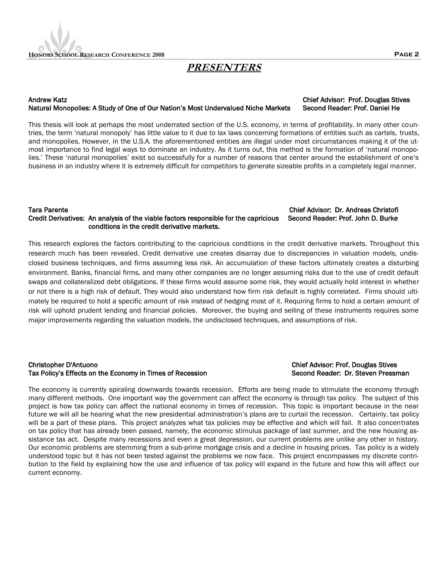

### **PRESENTERS**

#### Andrew Katz Chief Advisor: Prof. Douglas Stives Natural Monopolies: A Study of One of Our Nation's Most Undervalued Niche Markets Second Reader: Prof. Daniel He

#### This thesis will look at perhaps the most underrated section of the U.S. economy, in terms of profitability. In many other countries, the term "natural monopoly" has little value to it due to lax laws concerning formations of entities such as cartels, trusts, and monopolies. However, in the U.S.A. the aforementioned entities are illegal under most circumstances making it of the utmost importance to find legal ways to dominate an industry. As it turns out, this method is the formation of "natural monopolies." These "natural monopolies" exist so successfully for a number of reasons that center around the establishment of one"s business in an industry where it is extremely difficult for competitors to generate sizeable profits in a completely legal manner.

#### Tara Parente Chief Advisor: Dr. Andreas Christofi Credit Derivatives: An analysis of the viable factors responsible for the capricious Second Reader: Prof. John D. Burke conditions in the credit derivative markets.

This research explores the factors contributing to the capricious conditions in the credit derivative markets. Throughout this research much has been revealed. Credit derivative use creates disarray due to discrepancies in valuation models, undisclosed business techniques, and firms assuming less risk. An accumulation of these factors ultimately creates a disturbing environment. Banks, financial firms, and many other companies are no longer assuming risks due to the use of credit default swaps and collateralized debt obligations. If these firms would assume some risk, they would actually hold interest in whether or not there is a high risk of default. They would also understand how firm risk default is highly correlated. Firms should ultimately be required to hold a specific amount of risk instead of hedging most of it. Requiring firms to hold a certain amount of risk will uphold prudent lending and financial policies. Moreover, the buying and selling of these instruments requires some major improvements regarding the valuation models, the undisclosed techniques, and assumptions of risk.

### Christopher D'Antuono Chief Advisor: Prof. Douglas Stives Tax Policy's Effects on the Economy in Times of Recession Second Reader: Dr. Steven Pressman

The economy is currently spiraling downwards towards recession. Efforts are being made to stimulate the economy through many different methods. One important way the government can affect the economy is through tax policy. The subject of this project is how tax policy can affect the national economy in times of recession. This topic is important because in the near future we will all be hearing what the new presidential administration's plans are to curtail the recession. Certainly, tax policy will be a part of these plans. This project analyzes what tax policies may be effective and which will fail. It also concentrates on tax policy that has already been passed, namely, the economic stimulus package of last summer, and the new housing assistance tax act. Despite many recessions and even a great depression, our current problems are unlike any other in history. Our economic problems are stemming from a sub-prime mortgage crisis and a decline in housing prices. Tax policy is a widely understood topic but it has not been tested against the problems we now face. This project encompasses my discrete contribution to the field by explaining how the use and influence of tax policy will expand in the future and how this will affect our current economy.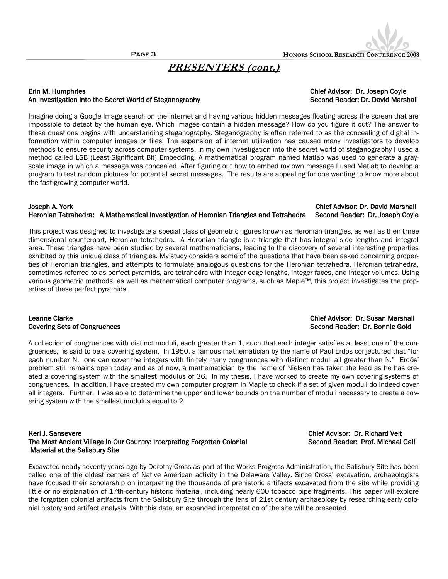## **PRESENTERS (cont.)**

#### Erin M. Humphries Chief Advisor: Dr. Joseph Coyle An Investigation into the Secret World of Steganography Second Reader: Dr. David Marshall

Imagine doing a Google Image search on the internet and having various hidden messages floating across the screen that are impossible to detect by the human eye. Which images contain a hidden message? How do you figure it out? The answer to these questions begins with understanding steganography. Steganography is often referred to as the concealing of digital information within computer images or files. The expansion of internet utilization has caused many investigators to develop methods to ensure security across computer systems. In my own investigation into the secret world of steganography I used a method called LSB (Least-Significant Bit) Embedding. A mathematical program named Matlab was used to generate a grayscale image in which a message was concealed. After figuring out how to embed my own message I used Matlab to develop a program to test random pictures for potential secret messages. The results are appealing for one wanting to know more about the fast growing computer world.

#### Joseph A. York Chief Advisor: Dr. David Marshall Heronian Tetrahedra: A Mathematical Investigation of Heronian Triangles and Tetrahedra Second Reader: Dr. Joseph Coyle

This project was designed to investigate a special class of geometric figures known as Heronian triangles, as well as their three dimensional counterpart, Heronian tetrahedra. A Heronian triangle is a triangle that has integral side lengths and integral area. These triangles have been studied by several mathematicians, leading to the discovery of several interesting properties exhibited by this unique class of triangles. My study considers some of the questions that have been asked concerning properties of Heronian triangles, and attempts to formulate analogous questions for the Heronian tetrahedra. Heronian tetrahedra, sometimes referred to as perfect pyramids, are tetrahedra with integer edge lengths, integer faces, and integer volumes. Using various geometric methods, as well as mathematical computer programs, such as Maple™, this project investigates the properties of these perfect pyramids.

A collection of congruences with distinct moduli, each greater than 1, such that each integer satisfies at least one of the congruences, is said to be a covering system. In 1950, a famous mathematician by the name of Paul Erdös conjectured that "for each number N, one can cover the integers with finitely many congruences with distinct moduli all greater than N." Erdös' problem still remains open today and as of now, a mathematician by the name of Nielsen has taken the lead as he has created a covering system with the smallest modulus of 36. In my thesis, I have worked to create my own covering systems of congruences. In addition, I have created my own computer program in Maple to check if a set of given moduli do indeed cover all integers. Further, I was able to determine the upper and lower bounds on the number of moduli necessary to create a covering system with the smallest modulus equal to 2.

#### Keri J. Sansevere Chief Advisor: Dr. Richard Veit The Most Ancient Village in Our Country: Interpreting Forgotten Colonial Second Reader: Prof. Michael Gall Material at the Salisbury Site

Excavated nearly seventy years ago by Dorothy Cross as part of the Works Progress Administration, the Salisbury Site has been called one of the oldest centers of Native American activity in the Delaware Valley. Since Cross" excavation, archaeologists have focused their scholarship on interpreting the thousands of prehistoric artifacts excavated from the site while providing little or no explanation of 17th-century historic material, including nearly 600 tobacco pipe fragments. This paper will explore the forgotten colonial artifacts from the Salisbury Site through the lens of 21st century archaeology by researching early colonial history and artifact analysis. With this data, an expanded interpretation of the site will be presented.

### Leanne Clarke Chief Advisor: Dr. Susan Marshall Covering Sets of Congruences **Second Reader: Dr. Bonnie Gold** Second Reader: Dr. Bonnie Gold